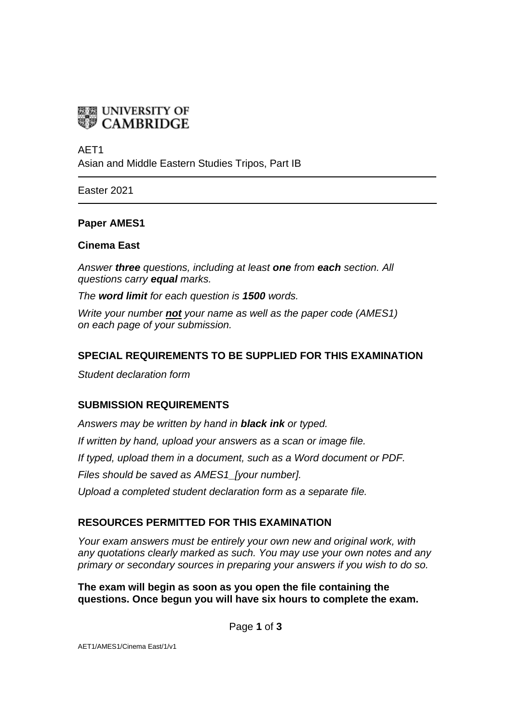

AET1

Asian and Middle Eastern Studies Tripos, Part IB

Easter 2021

#### **Paper AMES1**

#### **Cinema East**

*Answer three questions, including at least one from each section. All questions carry equal marks.*

*The word limit for each question is 1500 words.*

*Write your number not your name as well as the paper code (AMES1) on each page of your submission.*

### **SPECIAL REQUIREMENTS TO BE SUPPLIED FOR THIS EXAMINATION**

*Student declaration form*

### **SUBMISSION REQUIREMENTS**

*Answers may be written by hand in black ink or typed. If written by hand, upload your answers as a scan or image file. If typed, upload them in a document, such as a Word document or PDF. Files should be saved as AMES1\_[your number]. Upload a completed student declaration form as a separate file.*

### **RESOURCES PERMITTED FOR THIS EXAMINATION**

*Your exam answers must be entirely your own new and original work, with any quotations clearly marked as such. You may use your own notes and any primary or secondary sources in preparing your answers if you wish to do so.*

**The exam will begin as soon as you open the file containing the questions. Once begun you will have six hours to complete the exam.**

Page **1** of **3**

AET1/AMES1/Cinema East/1/v1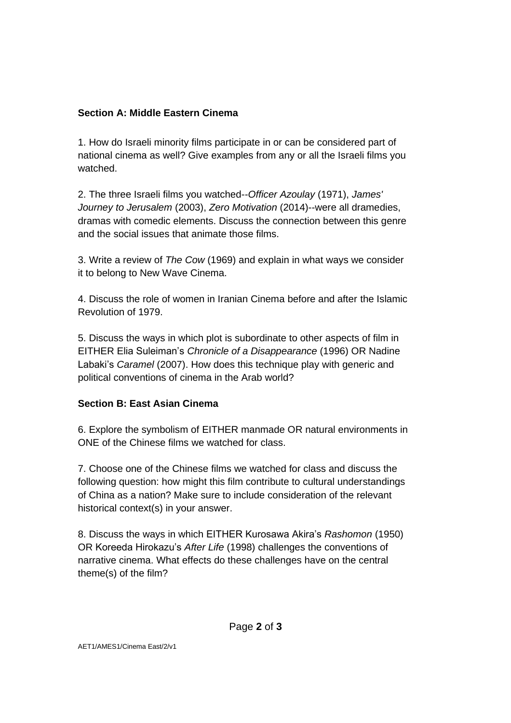## **Section A: Middle Eastern Cinema**

1. How do Israeli minority films participate in or can be considered part of national cinema as well? Give examples from any or all the Israeli films you watched.

2. The three Israeli films you watched--*Officer Azoulay* (1971), *James' Journey to Jerusalem* (2003), *Zero Motivation* (2014)--were all dramedies, dramas with comedic elements. Discuss the connection between this genre and the social issues that animate those films.

3. Write a review of *The Cow* (1969) and explain in what ways we consider it to belong to New Wave Cinema.

4. Discuss the role of women in Iranian Cinema before and after the Islamic Revolution of 1979.

5. Discuss the ways in which plot is subordinate to other aspects of film in EITHER Elia Suleiman's *Chronicle of a Disappearance* (1996) OR Nadine Labaki's *Caramel* (2007). How does this technique play with generic and political conventions of cinema in the Arab world?

### **Section B: East Asian Cinema**

6. Explore the symbolism of EITHER manmade OR natural environments in ONE of the Chinese films we watched for class.

7. Choose one of the Chinese films we watched for class and discuss the following question: how might this film contribute to cultural understandings of China as a nation? Make sure to include consideration of the relevant historical context(s) in your answer.

8. Discuss the ways in which EITHER Kurosawa Akira's *Rashomon* (1950) OR Koreeda Hirokazu's *After Life* (1998) challenges the conventions of narrative cinema. What effects do these challenges have on the central theme(s) of the film?